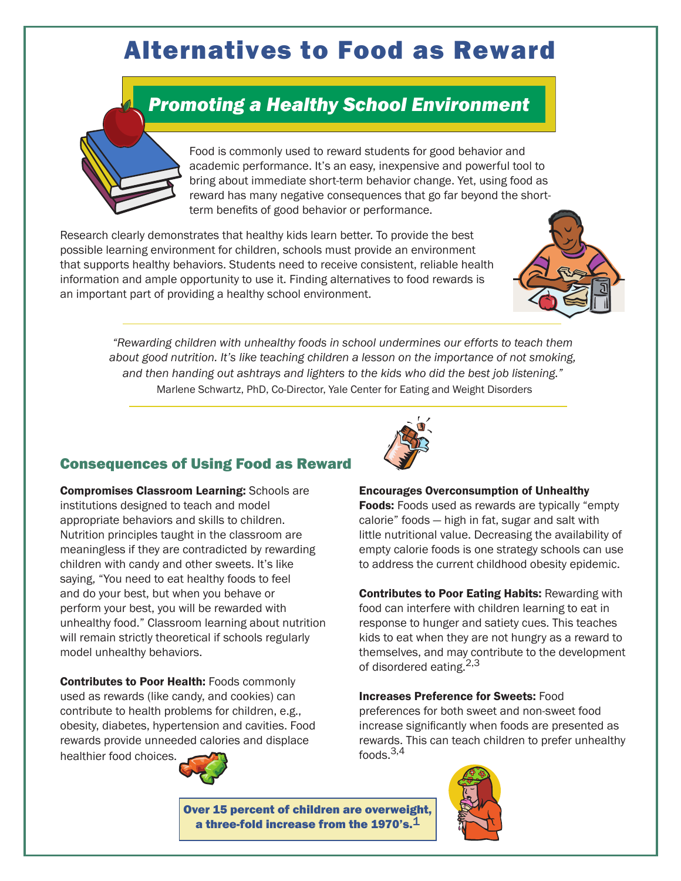# Alternatives to Food as Reward

# *Promoting a Healthy School Environment*



Food is commonly used to reward students for good behavior and academic performance. It's an easy, inexpensive and powerful tool to bring about immediate short-term behavior change. Yet, using food as reward has many negative consequences that go far beyond the shortterm benefits of good behavior or performance.

Research clearly demonstrates that healthy kids learn better. To provide the best possible learning environment for children, schools must provide an environment that supports healthy behaviors. Students need to receive consistent, reliable health information and ample opportunity to use it. Finding alternatives to food rewards is an important part of providing a healthy school environment.



*"Rewarding children with unhealthy foods in school undermines our efforts to teach them about good nutrition. It's like teaching children a lesson on the importance of not smoking, and then handing out ashtrays and lighters to the kids who did the best job listening."*  Marlene Schwartz, PhD, Co-Director, Yale Center for Eating and Weight Disorders

#### Consequences of Using Food as Reward

Compromises Classroom Learning: Schools are institutions designed to teach and model appropriate behaviors and skills to children. Nutrition principles taught in the classroom are meaningless if they are contradicted by rewarding children with candy and other sweets. It's like saying, "You need to eat healthy foods to feel and do your best, but when you behave or perform your best, you will be rewarded with unhealthy food." Classroom learning about nutrition will remain strictly theoretical if schools regularly model unhealthy behaviors.

Contributes to Poor Health: Foods commonly used as rewards (like candy, and cookies) can contribute to health problems for children, e.g., obesity, diabetes, hypertension and cavities. Food rewards provide unneeded calories and displace healthier food choices.





#### Encourages Overconsumption of Unhealthy

Foods: Foods used as rewards are typically "empty" calorie" foods — high in fat, sugar and salt with little nutritional value. Decreasing the availability of empty calorie foods is one strategy schools can use to address the current childhood obesity epidemic.

Contributes to Poor Eating Habits: Rewarding with food can interfere with children learning to eat in response to hunger and satiety cues. This teaches kids to eat when they are not hungry as a reward to themselves, and may contribute to the development of disordered eating.2,3

Increases Preference for Sweets: Food preferences for both sweet and non-sweet food increase significantly when foods are presented as rewards. This can teach children to prefer unhealthy foods.3,4

Over 15 percent of children are overweight, a three-fold increase from the 1970's. $^{\mathbf{1}}$